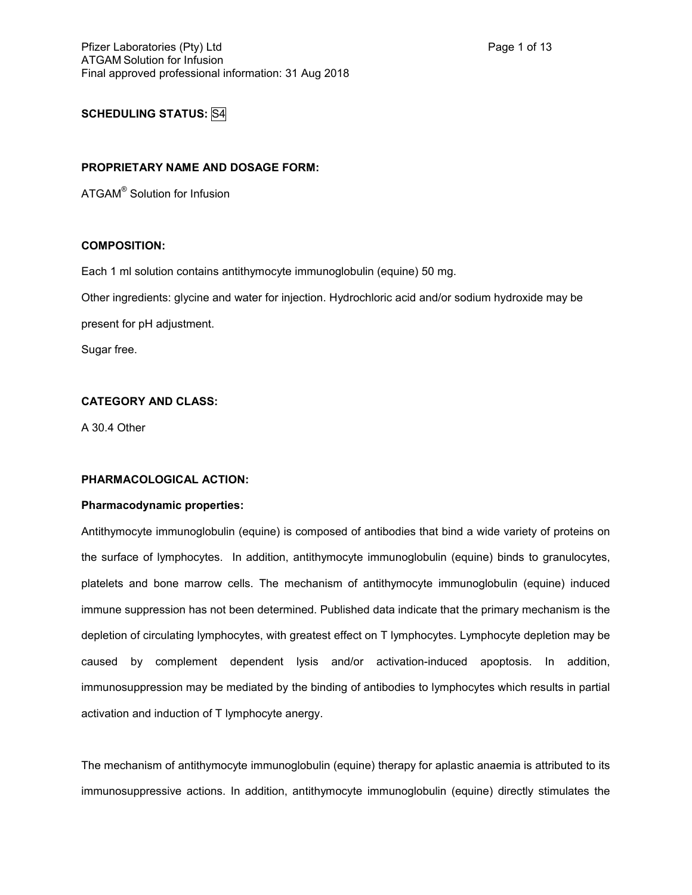# **SCHEDULING STATUS:** S4

# **PROPRIETARY NAME AND DOSAGE FORM:**

ATGAM® Solution for Infusion

## **COMPOSITION:**

Each 1 ml solution contains antithymocyte immunoglobulin (equine) 50 mg.

Other ingredients: glycine and water for injection. Hydrochloric acid and/or sodium hydroxide may be

present for pH adjustment.

Sugar free.

# **CATEGORY AND CLASS:**

A 30.4 Other

# **PHARMACOLOGICAL ACTION:**

## **Pharmacodynamic properties:**

Antithymocyte immunoglobulin (equine) is composed of antibodies that bind a wide variety of proteins on the surface of lymphocytes. In addition, antithymocyte immunoglobulin (equine) binds to granulocytes, platelets and bone marrow cells. The mechanism of antithymocyte immunoglobulin (equine) induced immune suppression has not been determined. Published data indicate that the primary mechanism is the depletion of circulating lymphocytes, with greatest effect on T lymphocytes. Lymphocyte depletion may be caused by complement dependent lysis and/or activation-induced apoptosis. In addition, immunosuppression may be mediated by the binding of antibodies to lymphocytes which results in partial activation and induction of T lymphocyte anergy.

The mechanism of antithymocyte immunoglobulin (equine) therapy for aplastic anaemia is attributed to its immunosuppressive actions. In addition, antithymocyte immunoglobulin (equine) directly stimulates the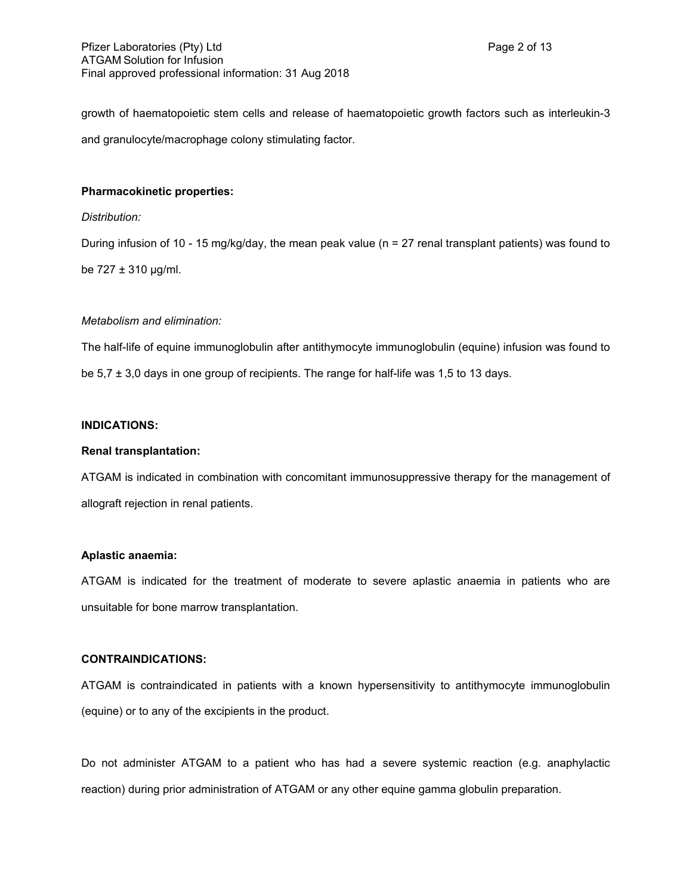growth of haematopoietic stem cells and release of haematopoietic growth factors such as interleukin-3 and granulocyte/macrophage colony stimulating factor.

## **Pharmacokinetic properties:**

## *Distribution:*

During infusion of 10 - 15 mg/kg/day, the mean peak value (n = 27 renal transplant patients) was found to be  $727 \pm 310$  μg/ml.

## *Metabolism and elimination:*

The half-life of equine immunoglobulin after antithymocyte immunoglobulin (equine) infusion was found to be  $5.7 \pm 3.0$  days in one group of recipients. The range for half-life was 1,5 to 13 days.

# **INDICATIONS:**

#### **Renal transplantation:**

ATGAM is indicated in combination with concomitant immunosuppressive therapy for the management of allograft rejection in renal patients.

#### **Aplastic anaemia:**

ATGAM is indicated for the treatment of moderate to severe aplastic anaemia in patients who are unsuitable for bone marrow transplantation.

## **CONTRAINDICATIONS:**

ATGAM is contraindicated in patients with a known hypersensitivity to antithymocyte immunoglobulin (equine) or to any of the excipients in the product.

Do not administer ATGAM to a patient who has had a severe systemic reaction (e.g. anaphylactic reaction) during prior administration of ATGAM or any other equine gamma globulin preparation.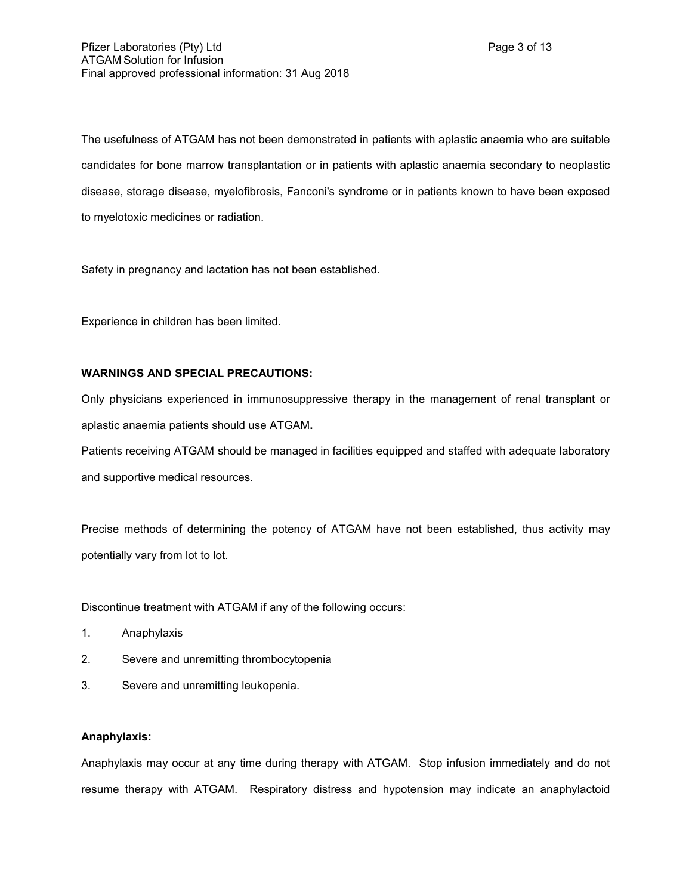The usefulness of ATGAM has not been demonstrated in patients with aplastic anaemia who are suitable candidates for bone marrow transplantation or in patients with aplastic anaemia secondary to neoplastic disease, storage disease, myelofibrosis, Fanconi's syndrome or in patients known to have been exposed to myelotoxic medicines or radiation.

Safety in pregnancy and lactation has not been established.

Experience in children has been limited.

# **WARNINGS AND SPECIAL PRECAUTIONS:**

Only physicians experienced in immunosuppressive therapy in the management of renal transplant or aplastic anaemia patients should use ATGAM**.**

Patients receiving ATGAM should be managed in facilities equipped and staffed with adequate laboratory and supportive medical resources.

Precise methods of determining the potency of ATGAM have not been established, thus activity may potentially vary from lot to lot.

Discontinue treatment with ATGAM if any of the following occurs:

- 1. Anaphylaxis
- 2. Severe and unremitting thrombocytopenia
- 3. Severe and unremitting leukopenia.

## **Anaphylaxis:**

Anaphylaxis may occur at any time during therapy with ATGAM. Stop infusion immediately and do not resume therapy with ATGAM.Respiratory distress and hypotension may indicate an anaphylactoid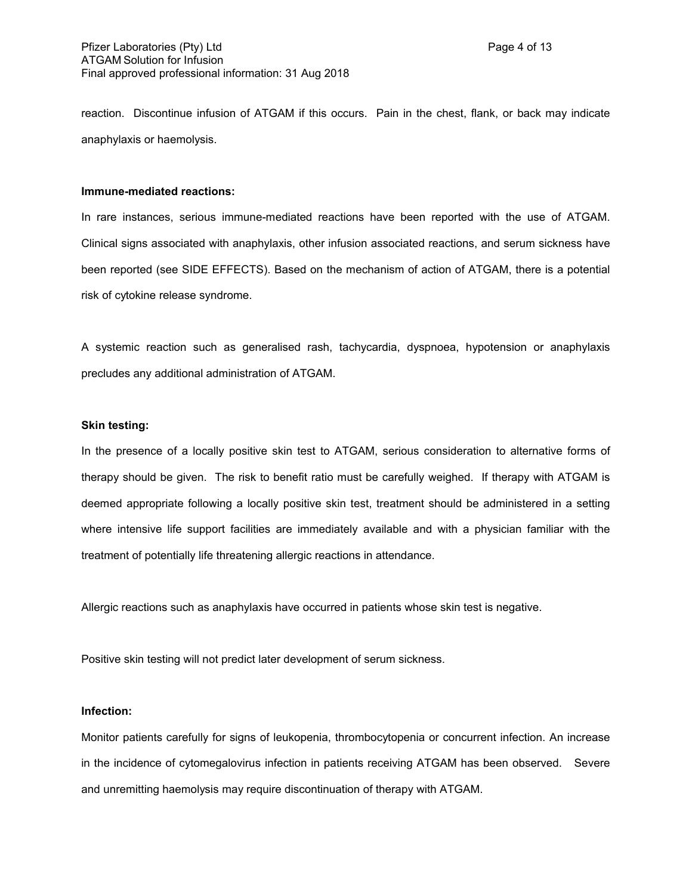reaction. Discontinue infusion of ATGAM if this occurs. Pain in the chest, flank, or back may indicate anaphylaxis or haemolysis.

#### **Immune-mediated reactions:**

In rare instances, serious immune-mediated reactions have been reported with the use of ATGAM. Clinical signs associated with anaphylaxis, other infusion associated reactions, and serum sickness have been reported (see SIDE EFFECTS). Based on the mechanism of action of ATGAM, there is a potential risk of cytokine release syndrome.

A systemic reaction such as generalised rash, tachycardia, dyspnoea, hypotension or anaphylaxis precludes any additional administration of ATGAM.

## **Skin testing:**

In the presence of a locally positive skin test to ATGAM, serious consideration to alternative forms of therapy should be given. The risk to benefit ratio must be carefully weighed. If therapy with ATGAM is deemed appropriate following a locally positive skin test, treatment should be administered in a setting where intensive life support facilities are immediately available and with a physician familiar with the treatment of potentially life threatening allergic reactions in attendance.

Allergic reactions such as anaphylaxis have occurred in patients whose skin test is negative.

Positive skin testing will not predict later development of serum sickness.

#### **Infection:**

Monitor patients carefully for signs of leukopenia, thrombocytopenia or concurrent infection. An increase in the incidence of cytomegalovirus infection in patients receiving ATGAM has been observed. Severe and unremitting haemolysis may require discontinuation of therapy with ATGAM.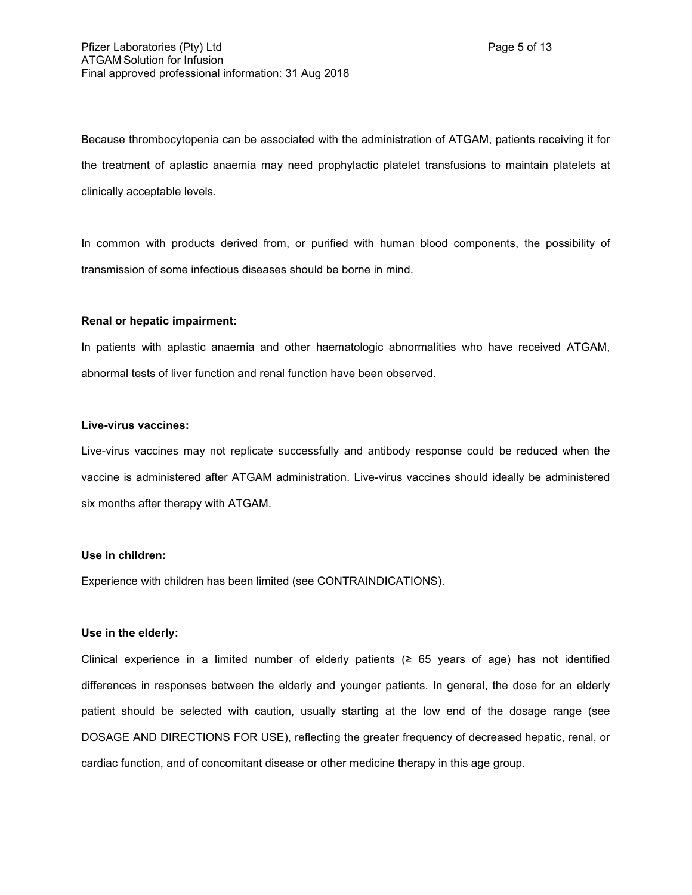Because thrombocytopenia can be associated with the administration of ATGAM, patients receiving it for the treatment of aplastic anaemia may need prophylactic platelet transfusions to maintain platelets at clinically acceptable levels.

In common with products derived from, or purified with human blood components, the possibility of transmission of some infectious diseases should be borne in mind.

## **Renal or hepatic impairment:**

In patients with aplastic anaemia and other haematologic abnormalities who have received ATGAM, abnormal tests of liver function and renal function have been observed.

## **Live-virus vaccines:**

Live-virus vaccines may not replicate successfully and antibody response could be reduced when the vaccine is administered after ATGAM administration. Live-virus vaccines should ideally be administered six months after therapy with ATGAM.

#### **Use in children:**

Experience with children has been limited (see CONTRAINDICATIONS).

#### **Use in the elderly:**

Clinical experience in a limited number of elderly patients ( $\geq$  65 years of age) has not identified differences in responses between the elderly and younger patients. In general, the dose for an elderly patient should be selected with caution, usually starting at the low end of the dosage range (see DOSAGE AND DIRECTIONS FOR USE), reflecting the greater frequency of decreased hepatic, renal, or cardiac function, and of concomitant disease or other medicine therapy in this age group.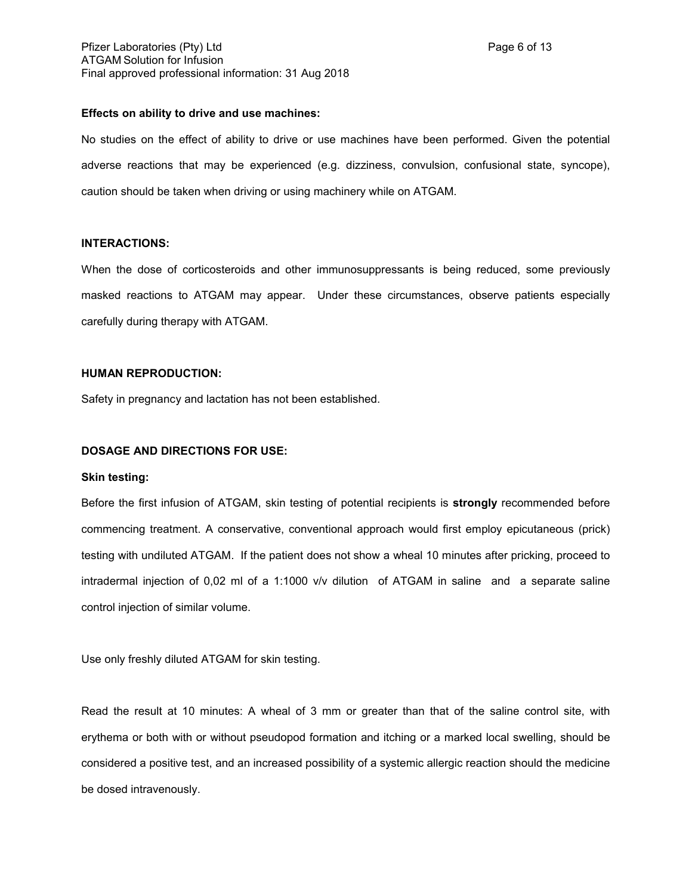## **Effects on ability to drive and use machines:**

No studies on the effect of ability to drive or use machines have been performed. Given the potential adverse reactions that may be experienced (e.g. dizziness, convulsion, confusional state, syncope), caution should be taken when driving or using machinery while on ATGAM.

## **INTERACTIONS:**

When the dose of corticosteroids and other immunosuppressants is being reduced, some previously masked reactions to ATGAM may appear. Under these circumstances, observe patients especially carefully during therapy with ATGAM.

## **HUMAN REPRODUCTION:**

Safety in pregnancy and lactation has not been established.

## **DOSAGE AND DIRECTIONS FOR USE:**

#### **Skin testing:**

Before the first infusion of ATGAM, skin testing of potential recipients is **strongly** recommended before commencing treatment. A conservative, conventional approach would first employ epicutaneous (prick) testing with undiluted ATGAM. If the patient does not show a wheal 10 minutes after pricking, proceed to intradermal injection of 0,02 ml of a 1:1000 v/v dilution of ATGAM in saline and a separate saline control injection of similar volume.

Use only freshly diluted ATGAM for skin testing.

Read the result at 10 minutes: A wheal of 3 mm or greater than that of the saline control site, with erythema or both with or without pseudopod formation and itching or a marked local swelling, should be considered a positive test, and an increased possibility of a systemic allergic reaction should the medicine be dosed intravenously.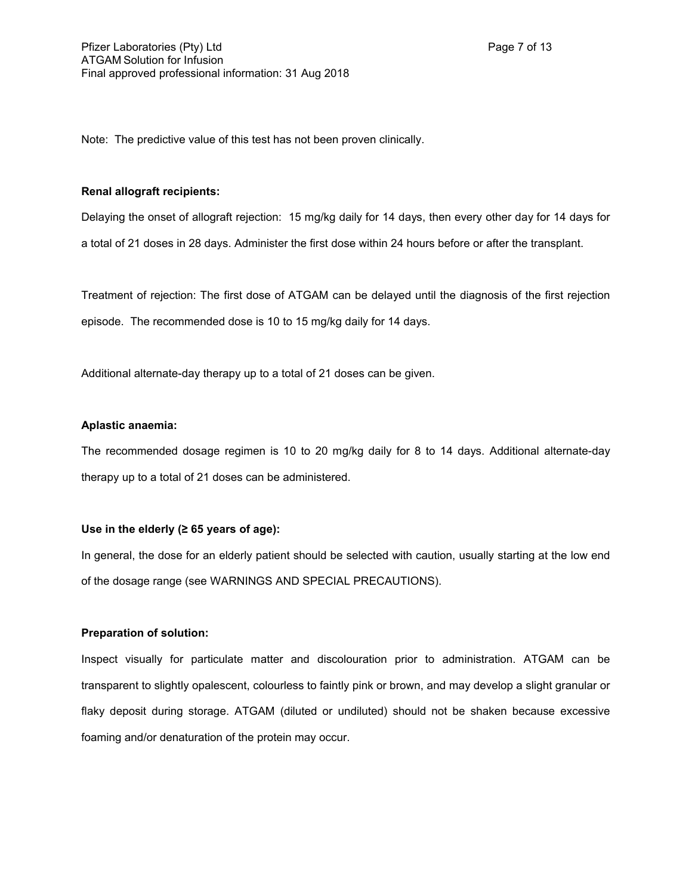Note: The predictive value of this test has not been proven clinically.

#### **Renal allograft recipients:**

Delaying the onset of allograft rejection: 15 mg/kg daily for 14 days, then every other day for 14 days for a total of 21 doses in 28 days. Administer the first dose within 24 hours before or after the transplant.

Treatment of rejection: The first dose of ATGAM can be delayed until the diagnosis of the first rejection episode. The recommended dose is 10 to 15 mg/kg daily for 14 days.

Additional alternate-day therapy up to a total of 21 doses can be given.

## **Aplastic anaemia:**

The recommended dosage regimen is 10 to 20 mg/kg daily for 8 to 14 days. Additional alternate-day therapy up to a total of 21 doses can be administered.

## **Use in the elderly (≥ 65 years of age):**

In general, the dose for an elderly patient should be selected with caution, usually starting at the low end of the dosage range (see WARNINGS AND SPECIAL PRECAUTIONS).

# **Preparation of solution:**

Inspect visually for particulate matter and discolouration prior to administration. ATGAM can be transparent to slightly opalescent, colourless to faintly pink or brown, and may develop a slight granular or flaky deposit during storage. ATGAM (diluted or undiluted) should not be shaken because excessive foaming and/or denaturation of the protein may occur.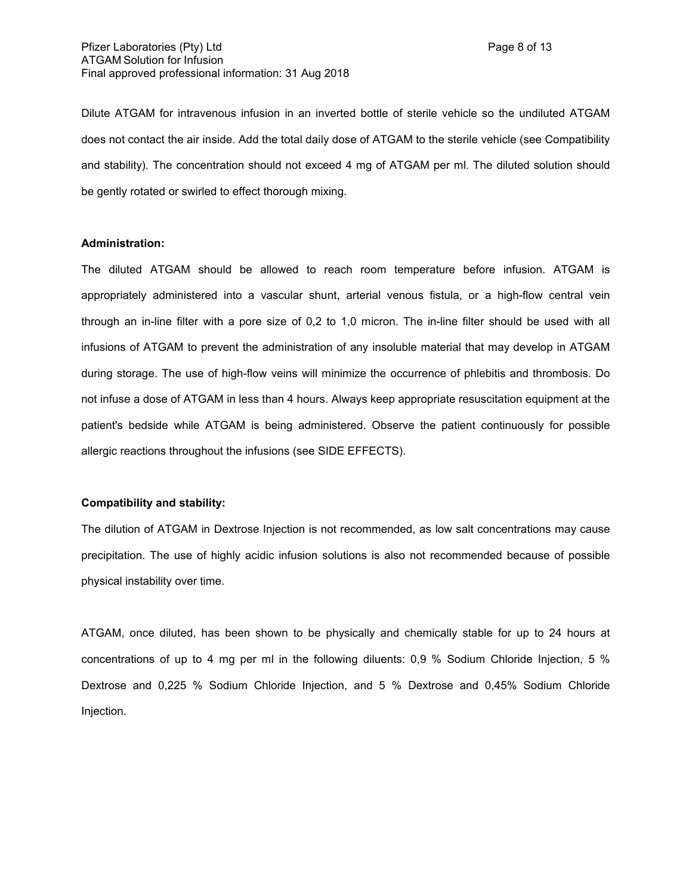Dilute ATGAM for intravenous infusion in an inverted bottle of sterile vehicle so the undiluted ATGAM does not contact the air inside. Add the total daily dose of ATGAM to the sterile vehicle (see Compatibility and stability). The concentration should not exceed 4 mg of ATGAM per ml. The diluted solution should be gently rotated or swirled to effect thorough mixing.

## **Administration:**

The diluted ATGAM should be allowed to reach room temperature before infusion. ATGAM is appropriately administered into a vascular shunt, arterial venous fistula, or a high-flow central vein through an in-line filter with a pore size of 0,2 to 1,0 micron. The in-line filter should be used with all infusions of ATGAM to prevent the administration of any insoluble material that may develop in ATGAM during storage. The use of high-flow veins will minimize the occurrence of phlebitis and thrombosis. Do not infuse a dose of ATGAM in less than 4 hours. Always keep appropriate resuscitation equipment at the patient's bedside while ATGAM is being administered. Observe the patient continuously for possible allergic reactions throughout the infusions (see SIDE EFFECTS).

#### **Compatibility and stability:**

The dilution of ATGAM in Dextrose Injection is not recommended, as low salt concentrations may cause precipitation. The use of highly acidic infusion solutions is also not recommended because of possible physical instability over time.

ATGAM, once diluted, has been shown to be physically and chemically stable for up to 24 hours at concentrations of up to 4 mg per ml in the following diluents: 0,9 % Sodium Chloride Injection, 5 % Dextrose and 0,225 % Sodium Chloride Injection, and 5 % Dextrose and 0,45% Sodium Chloride Injection.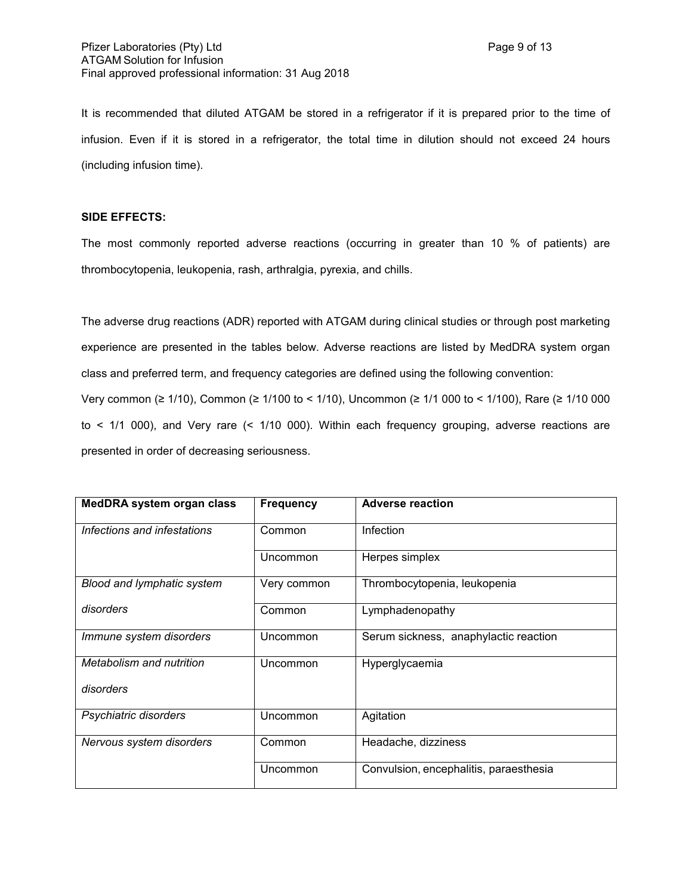It is recommended that diluted ATGAM be stored in a refrigerator if it is prepared prior to the time of infusion. Even if it is stored in a refrigerator, the total time in dilution should not exceed 24 hours (including infusion time).

# **SIDE EFFECTS:**

The most commonly reported adverse reactions (occurring in greater than 10 % of patients) are thrombocytopenia, leukopenia, rash, arthralgia, pyrexia, and chills.

The adverse drug reactions (ADR) reported with ATGAM during clinical studies or through post marketing experience are presented in the tables below. Adverse reactions are listed by MedDRA system organ class and preferred term, and frequency categories are defined using the following convention: Very common (≥ 1/10), Common (≥ 1/100 to < 1/10), Uncommon (≥ 1/1 000 to < 1/100), Rare (≥ 1/10 000 to < 1/1 000), and Very rare (< 1/10 000). Within each frequency grouping, adverse reactions are presented in order of decreasing seriousness.

| <b>MedDRA system organ class</b> | <b>Frequency</b> | <b>Adverse reaction</b>                |
|----------------------------------|------------------|----------------------------------------|
| Infections and infestations      | Common           | Infection                              |
|                                  | Uncommon         | Herpes simplex                         |
| Blood and lymphatic system       | Very common      | Thrombocytopenia, leukopenia           |
| disorders                        | Common           | Lymphadenopathy                        |
| Immune system disorders          | Uncommon         | Serum sickness, anaphylactic reaction  |
| Metabolism and nutrition         | Uncommon         | Hyperglycaemia                         |
| disorders                        |                  |                                        |
| Psychiatric disorders            | Uncommon         | Agitation                              |
| Nervous system disorders         | Common           | Headache, dizziness                    |
|                                  | Uncommon         | Convulsion, encephalitis, paraesthesia |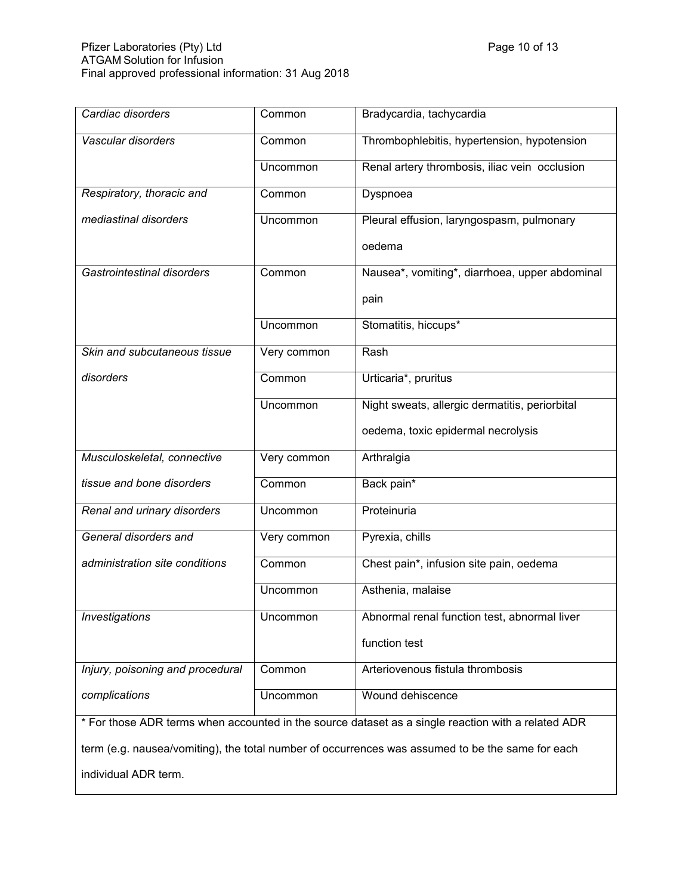| Cardiac disorders                                                                                  | Common      | Bradycardia, tachycardia                       |  |
|----------------------------------------------------------------------------------------------------|-------------|------------------------------------------------|--|
| Vascular disorders                                                                                 | Common      | Thrombophlebitis, hypertension, hypotension    |  |
|                                                                                                    | Uncommon    | Renal artery thrombosis, iliac vein occlusion  |  |
| Respiratory, thoracic and                                                                          | Common      | Dyspnoea                                       |  |
| mediastinal disorders                                                                              | Uncommon    | Pleural effusion, laryngospasm, pulmonary      |  |
|                                                                                                    |             | oedema                                         |  |
| Gastrointestinal disorders                                                                         | Common      | Nausea*, vomiting*, diarrhoea, upper abdominal |  |
|                                                                                                    |             | pain                                           |  |
|                                                                                                    | Uncommon    | Stomatitis, hiccups*                           |  |
| Skin and subcutaneous tissue                                                                       | Very common | Rash                                           |  |
| disorders                                                                                          | Common      | Urticaria*, pruritus                           |  |
|                                                                                                    | Uncommon    | Night sweats, allergic dermatitis, periorbital |  |
|                                                                                                    |             | oedema, toxic epidermal necrolysis             |  |
| Musculoskeletal, connective                                                                        | Very common | Arthralgia                                     |  |
| tissue and bone disorders                                                                          | Common      | Back pain*                                     |  |
| Renal and urinary disorders                                                                        | Uncommon    | Proteinuria                                    |  |
| General disorders and                                                                              | Very common | Pyrexia, chills                                |  |
| administration site conditions                                                                     | Common      | Chest pain*, infusion site pain, oedema        |  |
|                                                                                                    | Uncommon    | Asthenia, malaise                              |  |
| <i><b>Investigations</b></i>                                                                       | Uncommon    | Abnormal renal function test, abnormal liver   |  |
|                                                                                                    |             | function test                                  |  |
| Injury, poisoning and procedural                                                                   | Common      | Arteriovenous fistula thrombosis               |  |
| complications                                                                                      | Uncommon    | Wound dehiscence                               |  |
| * For those ADR terms when accounted in the source dataset as a single reaction with a related ADR |             |                                                |  |
| term (e.g. nausea/vomiting), the total number of occurrences was assumed to be the same for each   |             |                                                |  |
| individual ADR term.                                                                               |             |                                                |  |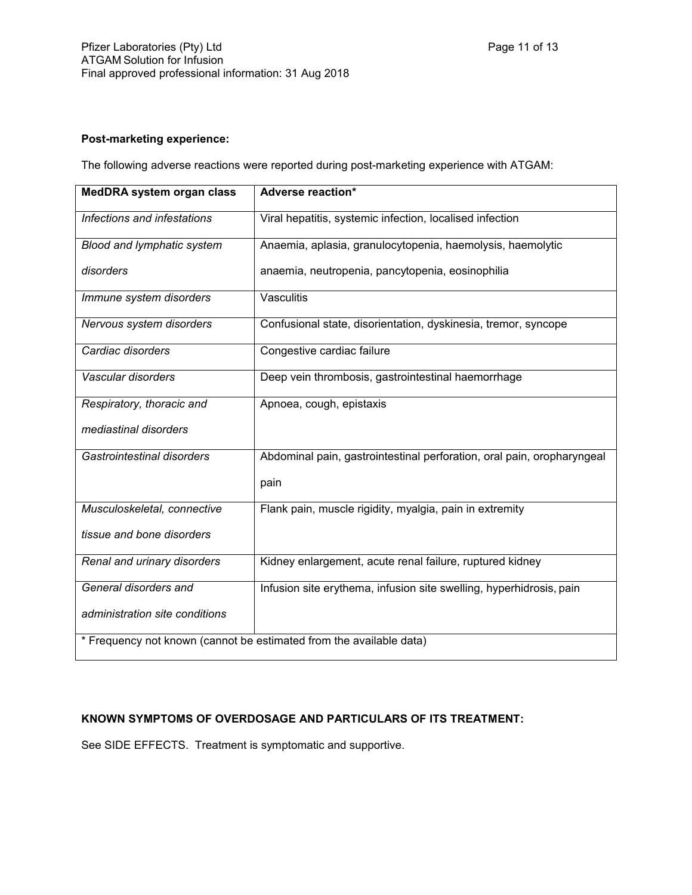# **Post-marketing experience:**

The following adverse reactions were reported during post-marketing experience with ATGAM:

| <b>MedDRA system organ class</b>                                    | Adverse reaction*                                                      |  |  |
|---------------------------------------------------------------------|------------------------------------------------------------------------|--|--|
| Infections and infestations                                         | Viral hepatitis, systemic infection, localised infection               |  |  |
| Blood and lymphatic system                                          | Anaemia, aplasia, granulocytopenia, haemolysis, haemolytic             |  |  |
| disorders                                                           | anaemia, neutropenia, pancytopenia, eosinophilia                       |  |  |
| Immune system disorders                                             | Vasculitis                                                             |  |  |
| Nervous system disorders                                            | Confusional state, disorientation, dyskinesia, tremor, syncope         |  |  |
| Cardiac disorders                                                   | Congestive cardiac failure                                             |  |  |
| Vascular disorders                                                  | Deep vein thrombosis, gastrointestinal haemorrhage                     |  |  |
| Respiratory, thoracic and                                           | Apnoea, cough, epistaxis                                               |  |  |
| mediastinal disorders                                               |                                                                        |  |  |
| Gastrointestinal disorders                                          | Abdominal pain, gastrointestinal perforation, oral pain, oropharyngeal |  |  |
|                                                                     | pain                                                                   |  |  |
| Musculoskeletal, connective                                         | Flank pain, muscle rigidity, myalgia, pain in extremity                |  |  |
| tissue and bone disorders                                           |                                                                        |  |  |
| Renal and urinary disorders                                         | Kidney enlargement, acute renal failure, ruptured kidney               |  |  |
| General disorders and                                               | Infusion site erythema, infusion site swelling, hyperhidrosis, pain    |  |  |
| administration site conditions                                      |                                                                        |  |  |
| * Frequency not known (cannot be estimated from the available data) |                                                                        |  |  |

# **KNOWN SYMPTOMS OF OVERDOSAGE AND PARTICULARS OF ITS TREATMENT:**

See SIDE EFFECTS. Treatment is symptomatic and supportive.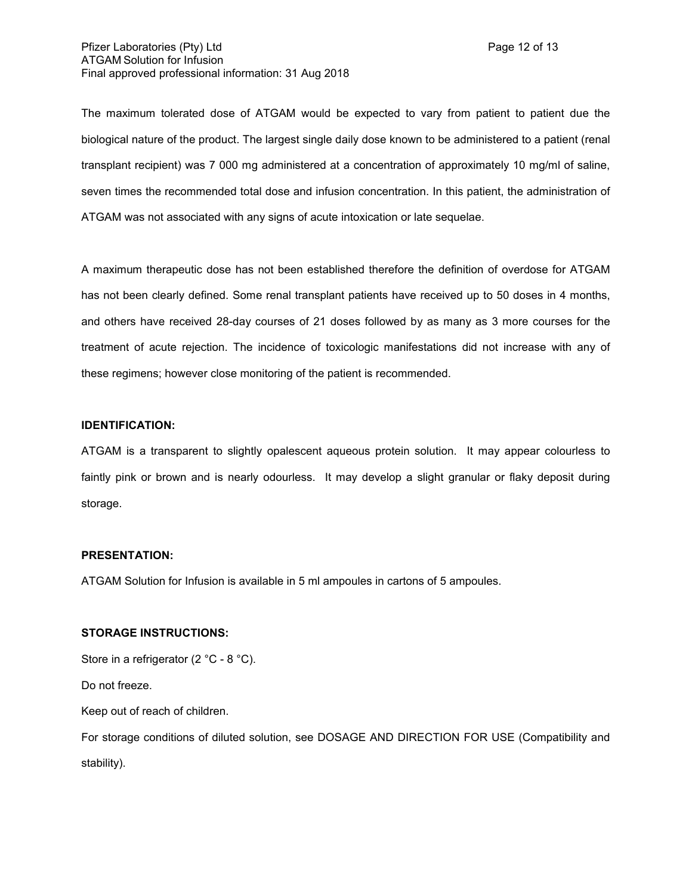The maximum tolerated dose of ATGAM would be expected to vary from patient to patient due the biological nature of the product. The largest single daily dose known to be administered to a patient (renal transplant recipient) was 7 000 mg administered at a concentration of approximately 10 mg/ml of saline, seven times the recommended total dose and infusion concentration. In this patient, the administration of ATGAM was not associated with any signs of acute intoxication or late sequelae.

A maximum therapeutic dose has not been established therefore the definition of overdose for ATGAM has not been clearly defined. Some renal transplant patients have received up to 50 doses in 4 months, and others have received 28-day courses of 21 doses followed by as many as 3 more courses for the treatment of acute rejection. The incidence of toxicologic manifestations did not increase with any of these regimens; however close monitoring of the patient is recommended.

## **IDENTIFICATION:**

ATGAM is a transparent to slightly opalescent aqueous protein solution. It may appear colourless to faintly pink or brown and is nearly odourless. It may develop a slight granular or flaky deposit during storage.

## **PRESENTATION:**

ATGAM Solution for Infusion is available in 5 ml ampoules in cartons of 5 ampoules.

# **STORAGE INSTRUCTIONS:**

Store in a refrigerator (2 °C - 8 °C).

Do not freeze.

Keep out of reach of children.

For storage conditions of diluted solution, see DOSAGE AND DIRECTION FOR USE (Compatibility and stability).